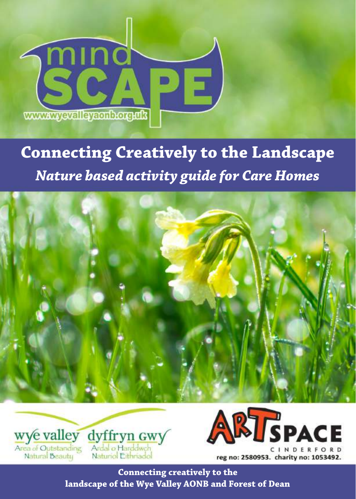

# **Connecting Creatively to the Landscape** *Nature based activity guide for Care Homes*







**Connecting creatively to the landscape of the Wye Valley AONB and Forest of Dean**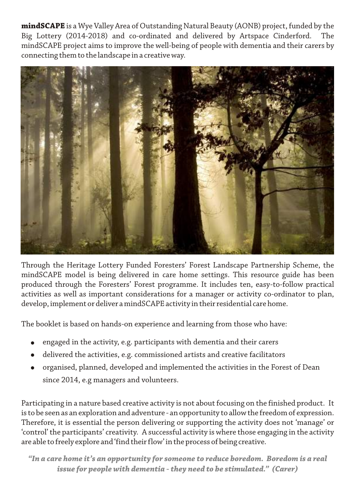**mindSCAPE** is a Wye Valley Area of Outstanding Natural Beauty (AONB) project, funded by the Big Lottery (2014-2018) and co-ordinated and delivered by Artspace Cinderford. The mindSCAPE project aims to improve the well-being of people with dementia and their carers by connecting them to the landscape in a creative way.



Through the Heritage Lottery Funded Foresters' Forest Landscape Partnership Scheme, the mindSCAPE model is being delivered in care home settings. This resource guide has been produced through the Foresters' Forest programme. It includes ten, easy-to-follow practical activities as well as important considerations for a manager or activity co-ordinator to plan, develop, implement or deliver a mindSCAPE activity in their residential care home.

The booklet is based on hands-on experience and learning from those who have:

- engaged in the activity, e.g. participants with dementia and their carers
- delivered the activities, e.g. commissioned artists and creative facilitators
- organised, planned, developed and implemented the activities in the Forest of Dean since 2014, e.g managers and volunteers.

Participating in a nature based creative activity is not about focusing on the finished product. It is to be seen as an exploration and adventure - an opportunity to allow the freedom of expression. Therefore, it is essential the person delivering or supporting the activity does not 'manage' or 'control' the participants' creativity. A successful activity is where those engaging in the activity are able to freely explore and 'find their flow' in the process of being creative.

*"In a care home it's an opportunity for someone to reduce boredom. Boredom is a real issue for people with dementia - they need to be stimulated." (Carer)*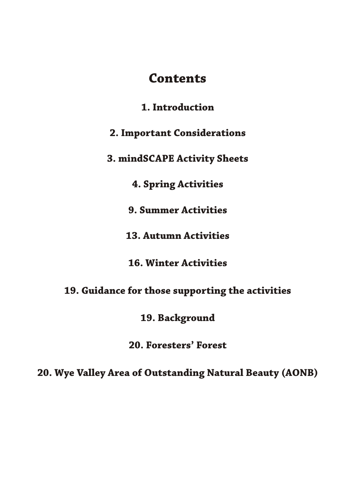# **Contents**

**1. Introduction** 

**2. Important Considerations** 

**3. mindSCAPE Activity Sheets**

**4. Spring Activities**

**9. Summer Activities**

**13. Autumn Activities**

**16. Winter Activities**

**19. Guidance for those supporting the activities**

**19. Background**

**20. Foresters' Forest**

**20. Wye Valley Area of Outstanding Natural Beauty (AONB)**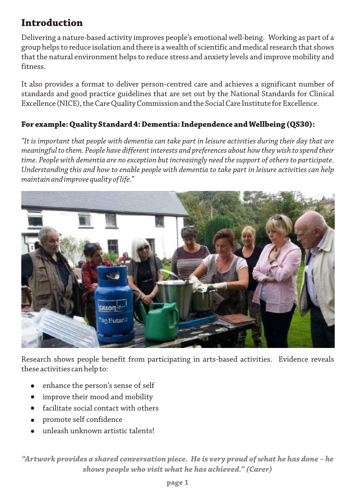# **Introduction**

Delivering a nature-based activity improves people's emotional well-being. Working as part of a group helps to reduce isolation and there is a wealth of scientific and medical research that shows that the natural environment helps to reduce stress and anxiety levels and improve mobility and fitness.

It also provides a format to deliver person-centred care and achieves a significant number of standards and good practice guidelines that are set out by the National Standards for Clinical Excellence (NICE), the Care Quality Commission and the Social Care Institute for Excellence.

## **For example: Quality Standard 4: Dementia: Independence and Wellbeing (QS30):**

*"It is important that people with dementia can take part in leisure activities during their day that are meaningful to them. People have different interests and preferences about how they wish to spend their time. People with dementia are no exception but increasingly need the support of others to participate. Understanding this and how to enable people with dementia to take part in leisure activities can help maintain and improve quality of life."*



Research shows people benefit from participating in arts-based activities. Evidence reveals these activities can help to:

- enhance the person's sense of self
- improve their mood and mobility
- facilitate social contact with others
- promote self confidence
- unleash unknown artistic talents!

*"Artwork provides a shared conversation piece. He is very proud of what he has done – he shows people who visit what he has achieved." (Carer)*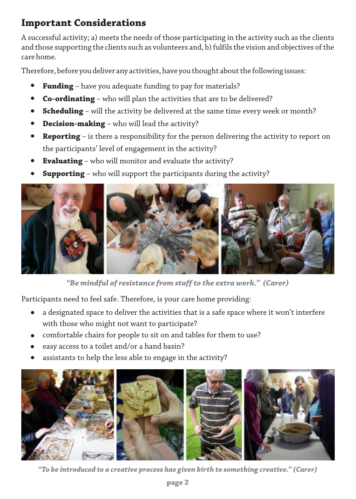# **Important Considerations**

A successful activity; a) meets the needs of those participating in the activity such as the clients and those supporting the clients such as volunteers and, b) fulfils the vision and objectives of the care home.

Therefore, before you deliver any activities, have you thought about the following issues:

- **Funding** have you adequate funding to pay for materials?
- **Co-ordinating** who will plan the activities that are to be delivered?
- **Scheduling** will the activity be delivered at the same time every week or month?
- **Decision-making** who will lead the activity?
- **Reporting** is there a responsibility for the person delivering the activity to report on the participants' level of engagement in the activity?
- **Evaluating** who will monitor and evaluate the activity?
- **Supporting** who will support the participants during the activity?



*"Be mindful of resistance from staff to the extra work." (Carer)*

Participants need to feel safe. Therefore, is your care home providing:

- a designated space to deliver the activities that is a safe space where it won't interfere with those who might not want to participate?
- comfortable chairs for people to sit on and tables for them to use?
- easy access to a toilet and/or a hand basin?
- assistants to help the less able to engage in the activity?



*"To be introduced to a creative process has given birth to something creative." (Carer)*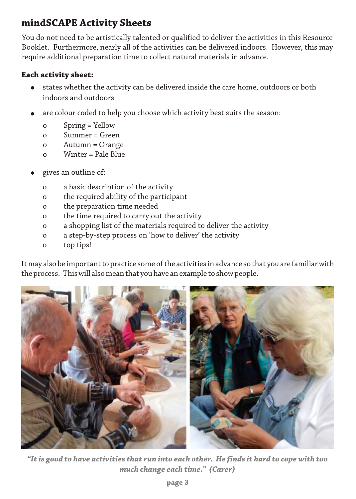# **mindSCAPE Activity Sheets**

You do not need to be artistically talented or qualified to deliver the activities in this Resource Booklet. Furthermore, nearly all of the activities can be delivered indoors. However, this may require additional preparation time to collect natural materials in advance.

### **Each activity sheet:**

- states whether the activity can be delivered inside the care home, outdoors or both indoors and outdoors
- are colour coded to help you choose which activity best suits the season:
	- o Spring = Yellow
	- o Summer = Green
	- o Autumn = Orange
	- o Winter = Pale Blue
- gives an outline of:
	- o a basic description of the activity
	- o the required ability of the participant
	- o the preparation time needed
	- o the time required to carry out the activity
	- o a shopping list of the materials required to deliver the activity
	- o a step-by-step process on 'how to deliver' the activity
	- o top tips!

It may also be important to practice some of the activities in advance so that you are familiar with the process. This will also mean that you have an example to show people.



*"It is good to have activities that run into each other. He finds it hard to cope with too much change each time." (Carer)*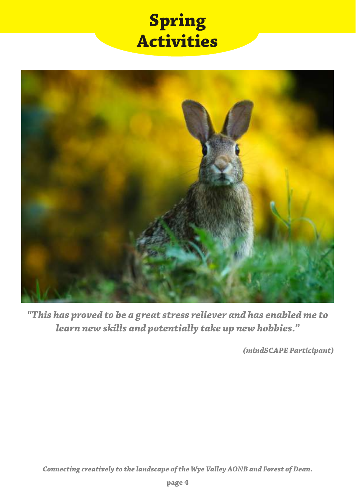# **Spring Activities**



*"This has proved to be a great stress reliever and has enabled me to learn new skills and potentially take up new hobbies."*

*(mindSCAPE Participant)*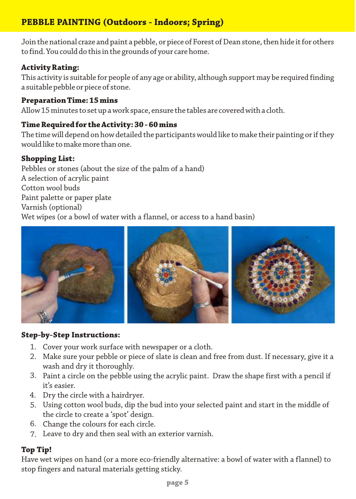# **PEBBLE PAINTING (Outdoors - Indoors; Spring)**

Join the national craze and paint a pebble, or piece of Forest of Dean stone, then hide it for others to find. You could do this in the grounds of your care home.

## **Activity Rating:**

This activity is suitable for people of any age or ability, although support may be required finding a suitable pebble or piece of stone.

#### **Preparation Time: 15 mins**

Allow 15 minutes to set up a work space, ensure the tables are covered with a cloth.

#### **Time Required for the Activity: 30 - 60 mins**

The time will depend on how detailed the participants would like to make their painting or if they would like to make more than one.

### **Shopping List:**

Pebbles or stones (about the size of the palm of a hand) A selection of acrylic paint Cotton wool buds Paint palette or paper plate Varnish (optional) Wet wipes (or a bowl of water with a flannel, or access to a hand basin)



#### **Step-by-Step Instructions:**

- 1. Cover your work surface with newspaper or a cloth.
- Make sure your pebble or piece of slate is clean and free from dust. If necessary, give it a 2. wash and dry it thoroughly.
- Paint a circle on the pebble using the acrylic paint. Draw the shape first with a pencil if 3. it's easier.
- Dry the circle with a hairdryer. 4.
- Using cotton wool buds, dip the bud into your selected paint and start in the middle of 5. the circle to create a 'spot' design.
- 6. Change the colours for each circle.
- Leave to dry and then seal with an exterior varnish. 7.

#### **Top Tip!**

Have wet wipes on hand (or a more eco-friendly alternative: a bowl of water with a flannel) to stop fingers and natural materials getting sticky.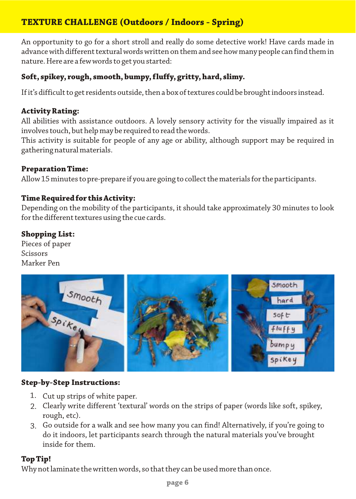# **TEXTURE CHALLENGE (Outdoors / Indoors - Spring)**

An opportunity to go for a short stroll and really do some detective work! Have cards made in advance with different textural words written on them and see how many people can find them in nature. Here are a few words to get you started:

## **Soft, spikey, rough, smooth, bumpy, fluffy, gritty, hard, slimy.**

If it's difficult to get residents outside, then a box of textures could be brought indoors instead.

#### **Activity Rating:**

All abilities with assistance outdoors. A lovely sensory activity for the visually impaired as it involves touch, but help may be required to read the words.

This activity is suitable for people of any age or ability, although support may be required in gathering natural materials.

#### **Preparation Time:**

Allow 15 minutes to pre-prepare if you are going to collect the materials for the participants.

#### **Time Required for this Activity:**

Depending on the mobility of the participants, it should take approximately 30 minutes to look for the different textures using the cue cards.

#### **Shopping List:**

Pieces of paper Scissors Marker Pen



#### **Step-by-Step Instructions:**

- 1. Cut up strips of white paper.
- Clearly write different 'textural' words on the strips of paper (words like soft, spikey, 2. rough, etc).
- Go outside for a walk and see how many you can find! Alternatively, if you're going to 3.do it indoors, let participants search through the natural materials you've brought inside for them.

#### **Top Tip!**

Why not laminate the written words, so that they can be used more than once.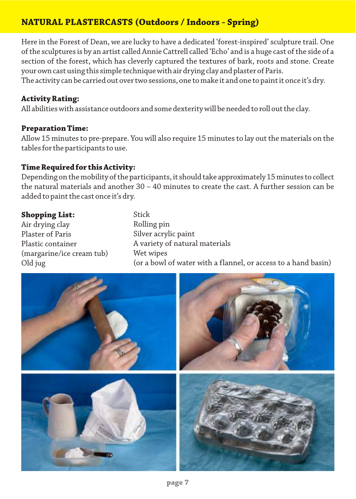# **NATURAL PLASTERCASTS (Outdoors / Indoors - Spring)**

Here in the Forest of Dean, we are lucky to have a dedicated 'forest-inspired' sculpture trail. One of the sculptures is by an artist called Annie Cattrell called 'Echo' and is a huge cast of the side of a section of the forest, which has cleverly captured the textures of bark, roots and stone. Create your own cast using this simple technique with air drying clay and plaster of Paris.

The activity can be carried out over two sessions, one to make it and one to paint it once it's dry.

#### **Activity Rating:**

All abilities with assistance outdoors and some dexterity will be needed to roll out the clay.

#### **Preparation Time:**

Allow 15 minutes to pre-prepare. You will also require 15 minutes to lay out the materials on the tables for the participants to use.

#### **Time Required for this Activity:**

Depending on the mobility of the participants, it should take approximately 15 minutes to collect the natural materials and another 30 – 40 minutes to create the cast. A further session can be added to paint the cast once it's dry.

#### **Shopping List:**

Air drying clay Plaster of Paris Plastic container (margarine/ice cream tub) Old jug Rolling pin Silver acrylic paint A variety of natural materials Wet wipes (or a bowl of water with a flannel, or access to a hand basin)

Stick

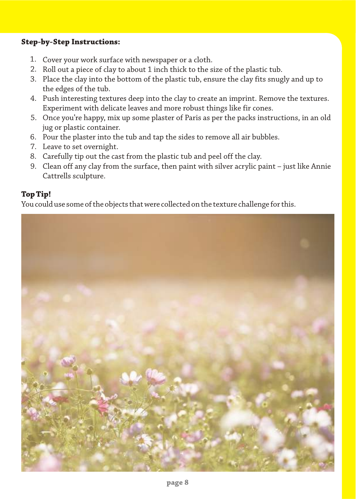#### **Step-by-Step Instructions:**

- 1. Cover your work surface with newspaper or a cloth.
- 2. Roll out a piece of clay to about 1 inch thick to the size of the plastic tub.
- Place the clay into the bottom of the plastic tub, ensure the clay fits snugly and up to 3. the edges of the tub.
- Push interesting textures deep into the clay to create an imprint. Remove the textures. 4. Experiment with delicate leaves and more robust things like fir cones.
- Once you're happy, mix up some plaster of Paris as per the packs instructions, in an old 5. jug or plastic container.
- Pour the plaster into the tub and tap the sides to remove all air bubbles. 6.
- 7. Leave to set overnight.
- Carefully tip out the cast from the plastic tub and peel off the clay. 8.
- Clean off any clay from the surface, then paint with silver acrylic paint just like Annie 9.Cattrells sculpture.

#### **Top Tip!**

You could use some of the objects that were collected on the texture challenge for this.

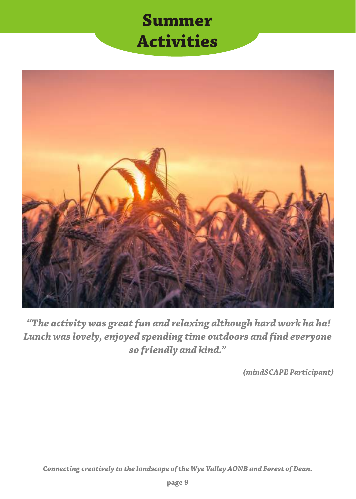# **Summer Activities**



 *"The activity was great fun and relaxing although hard work ha ha! Lunch was lovely, enjoyed spending time outdoors and find everyone so friendly and kind."*

*(mindSCAPE Participant)*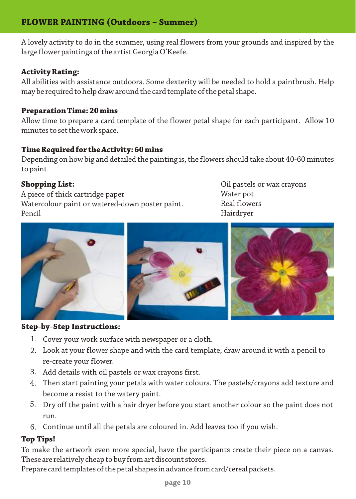## **FLOWER PAINTING (Outdoors – Summer)**

A lovely activity to do in the summer, using real flowers from your grounds and inspired by the large flower paintings of the artist Georgia O'Keefe.

#### **Activity Rating:**

All abilities with assistance outdoors. Some dexterity will be needed to hold a paintbrush. Help may be required to help draw around the card template of the petal shape.

#### **Preparation Time: 20 mins**

Allow time to prepare a card template of the flower petal shape for each participant. Allow 10 minutes to set the work space.

#### **Time Required for the Activity: 60 mins**

Depending on how big and detailed the painting is, the flowers should take about 40-60 minutes to paint.

#### **Shopping List:**

A piece of thick cartridge paper Watercolour paint or watered-down poster paint. Pencil

Oil pastels or wax crayons Water pot Real flowers Hairdryer



#### **Step-by-Step Instructions:**

- 1. Cover your work surface with newspaper or a cloth.
- Look at your flower shape and with the card template, draw around it with a pencil to 2. re-create your flower.
- Add details with oil pastels or wax crayons first. 3.
- Then start painting your petals with water colours. The pastels/crayons add texture and 4. become a resist to the watery paint.
- Dry off the paint with a hair dryer before you start another colour so the paint does not 5. run.
- Continue until all the petals are coloured in. Add leaves too if you wish. 6.

#### **Top Tips!**

To make the artwork even more special, have the participants create their piece on a canvas. These are relatively cheap to buy from art discount stores.

Prepare card templates of the petal shapes in advance from card/cereal packets.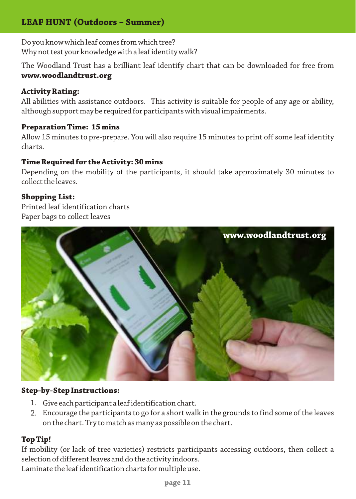# **LEAF HUNT (Outdoors – Summer)**

Do you know which leaf comes from which tree? Why not test your knowledge with a leaf identity walk?

The Woodland Trust has a brilliant leaf identify chart that can be downloaded for free from **www.woodlandtrust.org**

#### **Activity Rating:**

All abilities with assistance outdoors. This activity is suitable for people of any age or ability, although support may be required for participants with visual impairments.

#### **Preparation Time: 15 mins**

Allow 15 minutes to pre-prepare. You will also require 15 minutes to print off some leaf identity charts.

#### **Time Required for the Activity: 30 mins**

Depending on the mobility of the participants, it should take approximately 30 minutes to collect the leaves.

#### **Shopping List:**

Printed leaf identification charts Paper bags to collect leaves



#### **Step-by-Step Instructions:**

- Give each participant a leaf identification chart. 1.
- Encourage the participants to go for a short walk in the grounds to find some of the leaves 2. on the chart. Try to match as many as possible on the chart.

#### **Top Tip!**

If mobility (or lack of tree varieties) restricts participants accessing outdoors, then collect a selection of different leaves and do the activity indoors.

Laminate the leaf identification charts for multiple use.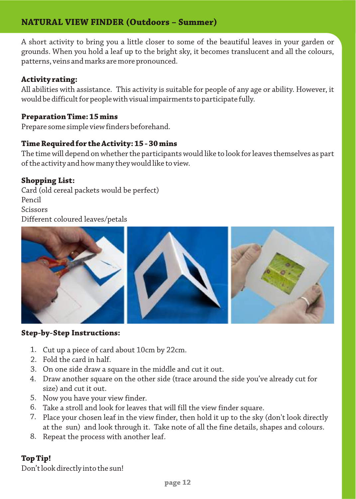## **NATURAL VIEW FINDER (Outdoors – Summer)**

A short activity to bring you a little closer to some of the beautiful leaves in your garden or grounds. When you hold a leaf up to the bright sky, it becomes translucent and all the colours, patterns, veins and marks are more pronounced.

#### **Activity rating:**

All abilities with assistance. This activity is suitable for people of any age or ability. However, it would be difficult for people with visual impairments to participate fully.

#### **Preparation Time: 15 mins**

Prepare some simple view finders beforehand.

#### **Time Required for the Activity: 15 - 30 mins**

The time will depend on whether the participants would like to look for leaves themselves as part of the activity and how many they would like to view.

#### **Shopping List:**

Card (old cereal packets would be perfect) Pencil Scissors Different coloured leaves/petals



#### **Step-by-Step Instructions:**

- Cut up a piece of card about 10cm by 22cm. 1.
- 2. Fold the card in half.
- On one side draw a square in the middle and cut it out. 3.
- Draw another square on the other side (trace around the side you've already cut for 4. size) and cut it out.
- 5. Now you have your view finder.
- Take a stroll and look for leaves that will fill the view finder square. 6.
- Place your chosen leaf in the view finder, then hold it up to the sky (don't look directly 7. at the sun) and look through it. Take note of all the fine details, shapes and colours.
- 8. Repeat the process with another leaf.

#### **Top Tip!**

Don't look directly into the sun!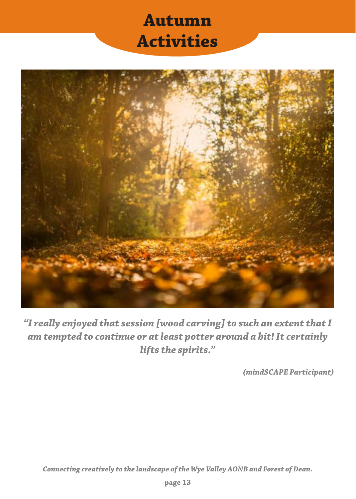# **Autumn Activities**



*"I really enjoyed that session [wood carving] to such an extent that I am tempted to continue or at least potter around a bit! It certainly lifts the spirits."*

*(mindSCAPE Participant)*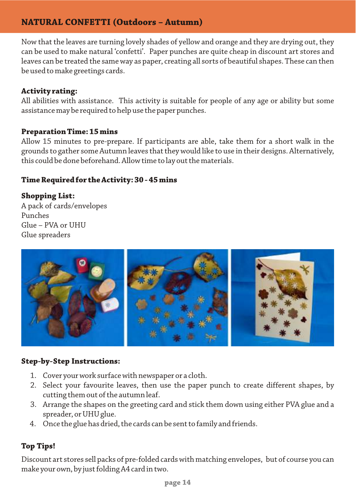## **NATURAL CONFETTI (Outdoors – Autumn)**

Now that the leaves are turning lovely shades of yellow and orange and they are drying out, they can be used to make natural 'confetti'. Paper punches are quite cheap in discount art stores and leaves can be treated the same way as paper, creating all sorts of beautiful shapes. These can then be used to make greetings cards.

#### **Activity rating:**

All abilities with assistance. This activity is suitable for people of any age or ability but some assistance may be required to help use the paper punches.

#### **Preparation Time: 15 mins**

Allow 15 minutes to pre-prepare. If participants are able, take them for a short walk in the grounds to gather some Autumn leaves that they would like to use in their designs. Alternatively, this could be done beforehand. Allow time to lay out the materials.

#### **Time Required for the Activity: 30 - 45 mins**

#### **Shopping List:**

A pack of cards/envelopes Punches Glue – PVA or UHU Glue spreaders



#### **Step-by-Step Instructions:**

- Cover your work surface with newspaper or a cloth. 1.
- 2. Select your favourite leaves, then use the paper punch to create different shapes, by cutting them out of the autumn leaf.
- Arrange the shapes on the greeting card and stick them down using either PVA glue and a 3. spreader, or UHU glue.
- Once the glue has dried, the cards can be sent to family and friends. 4.

#### **Top Tips!**

Discount art stores sell packs of pre-folded cards with matching envelopes, but of course you can make your own, by just folding A4 card in two.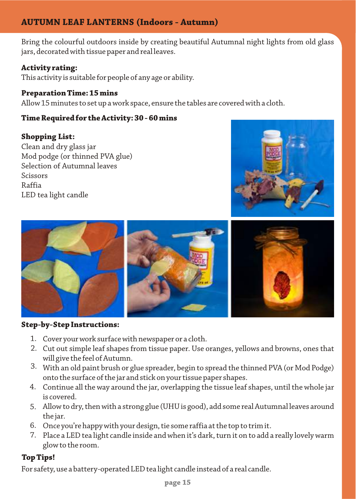# **AUTUMN LEAF LANTERNS (Indoors - Autumn)**

Bring the colourful outdoors inside by creating beautiful Autumnal night lights from old glass jars, decorated with tissue paper and real leaves.

### **Activity rating:**

This activity is suitable for people of any age or ability.

#### **Preparation Time: 15 mins**

Allow 15 minutes to set up a work space, ensure the tables are covered with a cloth.

#### **Time Required for the Activity: 30 - 60 mins**

#### **Shopping List:**

Clean and dry glass jar Mod podge (or thinned PVA glue) Selection of Autumnal leaves Scissors Raffia LED tea light candle





#### **Step-by-Step Instructions:**

- Cover your work surface with newspaper or a cloth. 1.
- Cut out simple leaf shapes from tissue paper. Use oranges, yellows and browns, ones that 2. will give the feel of Autumn.
- $3. \;$  With an old paint brush or glue spreader, begin to spread the thinned PVA (or Mod Podge)  $\;$ onto the surface of the jar and stick on your tissue paper shapes.
- Continue all the way around the jar, overlapping the tissue leaf shapes, until the whole jar 4. is covered.
- Allow to dry, then with a strong glue (UHU is good), add some real Autumnal leaves around 5. the jar.
- 6. Once you're happy with your design, tie some raffia at the top to trim it.
- Place a LED tea light candle inside and when it's dark, turn it on to add a really lovely warm 7.glow to the room.

## **Top Tips!**

For safety, use a battery-operated LED tea light candle instead of a real candle.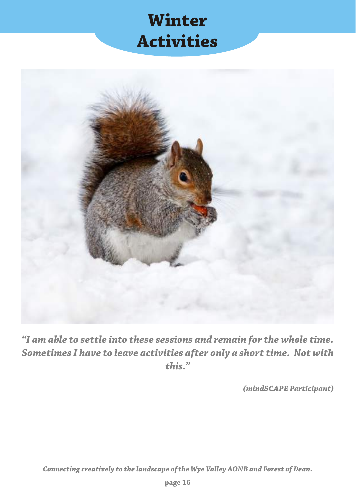# **Winter Activities**



*"I am able to settle into these sessions and remain for the whole time. Sometimes I have to leave activities after only a short time. Not with this."*

*(mindSCAPE Participant)*

*Connecting creatively to the landscape of the Wye Valley AONB and Forest of Dean.*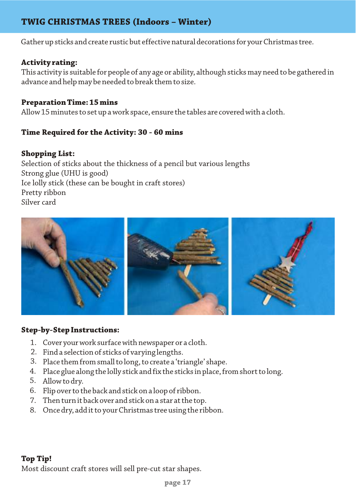## **TWIG CHRISTMAS TREES (Indoors – Winter)**

Gather up sticks and create rustic but effective natural decorations for your Christmas tree.

#### **Activity rating:**

This activity is suitable for people of any age or ability, although sticks may need to be gathered in advance and help may be needed to break them to size.

#### **Preparation Time: 15 mins**

Allow 15 minutes to set up a work space, ensure the tables are covered with a cloth.

#### **Time Required for the Activity: 30 - 60 mins**

#### **Shopping List:**

Selection of sticks about the thickness of a pencil but various lengths Strong glue (UHU is good) Ice lolly stick (these can be bought in craft stores) Pretty ribbon Silver card



#### **Step-by-Step Instructions:**

- Cover your work surface with newspaper or a cloth. 1.
- 2. Find a selection of sticks of varying lengths.
- Place them from small to long, to create a 'triangle' shape. 3.
- Place glue along the lolly stick and fix the sticks in place, from short to long. 4.
- Allow to dry. 5.
- Flip over to the back and stick on a loop of ribbon. 6.
- Then turn it back over and stick on a star at the top. 7.
- Once dry, add it to your Christmas tree using the ribbon. 8.

#### **Top Tip!** Most discount craft stores will sell pre-cut star shapes.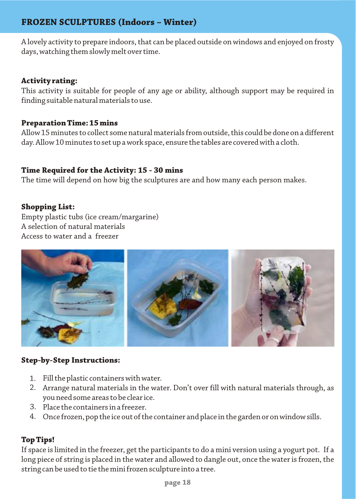## **FROZEN SCULPTURES (Indoors – Winter)**

A lovely activity to prepare indoors, that can be placed outside on windows and enjoyed on frosty days, watching them slowly melt over time.

#### **Activity rating:**

This activity is suitable for people of any age or ability, although support may be required in finding suitable natural materials to use.

#### **Preparation Time: 15 mins**

Allow 15 minutes to collect some natural materials from outside, this could be done on a different day. Allow 10 minutes to set up a work space, ensure the tables are covered with a cloth.

#### **Time Required for the Activity: 15 - 30 mins**

The time will depend on how big the sculptures are and how many each person makes.

#### **Shopping List:**

Empty plastic tubs (ice cream/margarine) A selection of natural materials Access to water and a freezer



#### **Step-by-Step Instructions:**

- Fill the plastic containers with water. 1.
- Arrange natural materials in the water. Don't over fill with natural materials through, as 2. you need some areas to be clear ice.
- Place the containers in a freezer. 3.
- Once frozen, pop the ice out of the container and place in the garden or on window sills. 4.

#### **Top Tips!**

If space is limited in the freezer, get the participants to do a mini version using a yogurt pot. If a long piece of string is placed in the water and allowed to dangle out, once the water is frozen, the string can be used to tie the mini frozen sculpture into a tree.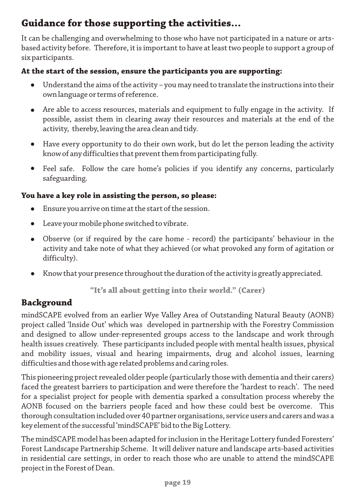# **Guidance for those supporting the activities…**

It can be challenging and overwhelming to those who have not participated in a nature or artsbased activity before. Therefore, it is important to have at least two people to support a group of six participants.

### **At the start of the session, ensure the participants you are supporting:**

- Understand the aims of the activity you may need to translate the instructions into their own language or terms of reference.
- Are able to access resources, materials and equipment to fully engage in the activity. If  $\bullet$ possible, assist them in clearing away their resources and materials at the end of the activity, thereby, leaving the area clean and tidy.
- Have every opportunity to do their own work, but do let the person leading the activity  $\bullet$ know of any difficulties that prevent them from participating fully.
- Feel safe. Follow the care home's policies if you identify any concerns, particularly  $\bullet$ safeguarding.

### **You have a key role in assisting the person, so please:**

- Ensure you arrive on time at the start of the session.  $\bullet$
- Leave your mobile phone switched to vibrate.  $\bullet$
- Observe (or if required by the care home record) the participants' behaviour in the activity and take note of what they achieved (or what provoked any form of agitation or difficulty).
- Know that your presence throughout the duration of the activity is greatly appreciated.

**"It's all about getting into their world." (Carer)**

# **Background**

mindSCAPE evolved from an earlier Wye Valley Area of Outstanding Natural Beauty (AONB) project called 'Inside Out' which was developed in partnership with the Forestry Commission and designed to allow under-represented groups access to the landscape and work through health issues creatively. These participants included people with mental health issues, physical and mobility issues, visual and hearing impairments, drug and alcohol issues, learning difficulties and those with age related problems and caring roles.

This pioneering project revealed older people (particularly those with dementia and their carers) faced the greatest barriers to participation and were therefore the 'hardest to reach'. The need for a specialist project for people with dementia sparked a consultation process whereby the AONB focused on the barriers people faced and how these could best be overcome. This thorough consultation included over 40 partner organisations, service users and carers and was a key element of the successful 'mindSCAPE' bid to the Big Lottery.

The mindSCAPE model has been adapted for inclusion in the Heritage Lottery funded Foresters' Forest Landscape Partnership Scheme. It will deliver nature and landscape arts-based activities in residential care settings, in order to reach those who are unable to attend the mindSCAPE project in the Forest of Dean.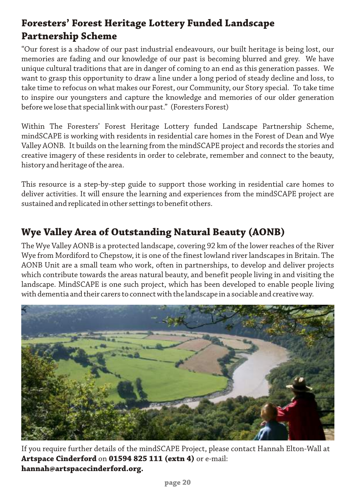# **Foresters' Forest Heritage Lottery Funded Landscape Partnership Scheme**

"Our forest is a shadow of our past industrial endeavours, our built heritage is being lost, our memories are fading and our knowledge of our past is becoming blurred and grey. We have unique cultural traditions that are in danger of coming to an end as this generation passes. We want to grasp this opportunity to draw a line under a long period of steady decline and loss, to take time to refocus on what makes our Forest, our Community, our Story special. To take time to inspire our youngsters and capture the knowledge and memories of our older generation before we lose that special link with our past." (Foresters Forest)

Within The Foresters' Forest Heritage Lottery funded Landscape Partnership Scheme, mindSCAPE is working with residents in residential care homes in the Forest of Dean and Wye Valley AONB. It builds on the learning from the mindSCAPE project and records the stories and creative imagery of these residents in order to celebrate, remember and connect to the beauty, history and heritage of the area.

This resource is a step-by-step guide to support those working in residential care homes to deliver activities. It will ensure the learning and experiences from the mindSCAPE project are sustained and replicated in other settings to benefit others.

# **Wye Valley Area of Outstanding Natural Beauty (AONB)**

The Wye Valley AONB is a protected landscape, covering 92 km of the lower reaches of the River Wye from Mordiford to Chepstow, it is one of the finest lowland river landscapes in Britain. The AONB Unit are a small team who work, often in partnerships, to develop and deliver projects which contribute towards the areas natural beauty, and benefit people living in and visiting the landscape. MindSCAPE is one such project, which has been developed to enable people living with dementia and their carers to connect with the landscape in a sociable and creative way.



If you require further details of the mindSCAPE Project, please contact Hannah Elton-Wall at **Artspace Cinderford** on **01594 825 111 (extn 4)** or e-mail: **hannah@artspacecinderford.org.**